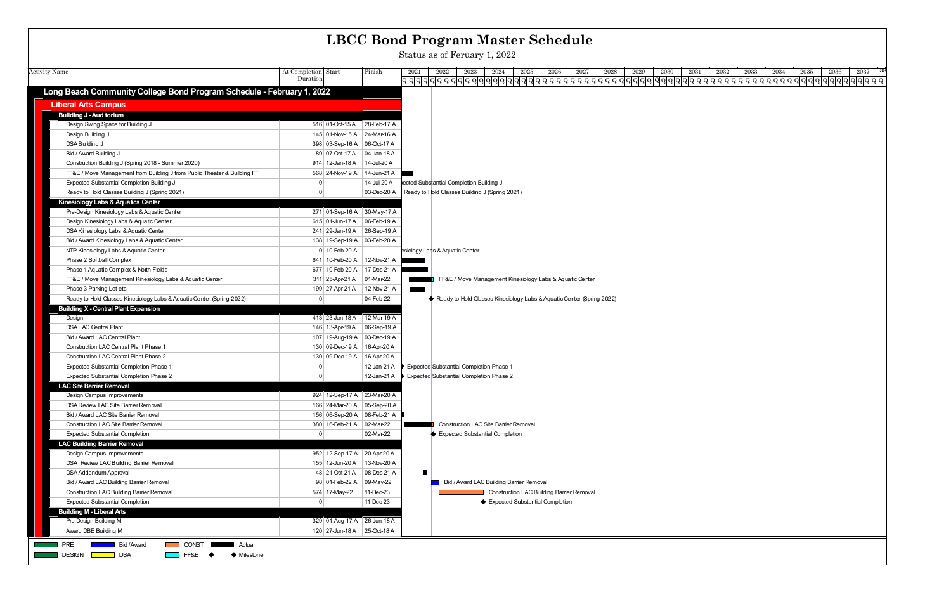|                                                                                                                              |                                                            |             | <b>LBCC Bond Program Master Schedule</b>                                                                                             |
|------------------------------------------------------------------------------------------------------------------------------|------------------------------------------------------------|-------------|--------------------------------------------------------------------------------------------------------------------------------------|
|                                                                                                                              |                                                            |             | Status as of Feruary 1, 2022                                                                                                         |
| <b>Activity Name</b>                                                                                                         | At Completion Start                                        | Finish      | 2028<br>2037<br>2023<br>2025<br>2026<br>2027<br>2029<br>2030<br>2032<br>2033<br>2034<br>2035<br>2036<br>2021<br>2022<br>2024<br>2031 |
|                                                                                                                              | Duration                                                   |             |                                                                                                                                      |
| Long Beach Community College Bond Program Schedule - February 1, 2022                                                        |                                                            |             |                                                                                                                                      |
| <b>Liberal Arts Campus</b>                                                                                                   |                                                            |             |                                                                                                                                      |
| <b>Building J - Auditorium</b>                                                                                               |                                                            |             |                                                                                                                                      |
| Design Swing Space for Building J                                                                                            | 516 01-Oct-15 A 28-Feb-17 A                                |             |                                                                                                                                      |
| Design Building J                                                                                                            | 145 01-Nov-15 A 24-Mar-16 A                                |             |                                                                                                                                      |
| DSA Building J                                                                                                               | 398 03-Sep-16 A 06-Oct-17 A                                |             |                                                                                                                                      |
| Bid / Award Building J                                                                                                       | 89 07-Oct-17 A 04-Jan-18 A                                 |             |                                                                                                                                      |
| Construction Building J (Spring 2018 - Summer 2020)                                                                          | 914 12-Jan-18 A   14-Jul-20 A                              |             |                                                                                                                                      |
| FF&E / Move Management from Building J from Public Theater & Building FF                                                     | 568 24-Nov-19 A   14-Jun-21 A                              |             |                                                                                                                                      |
| Expected Substantial Completion Building J                                                                                   | $\Omega$                                                   | 14-Jul-20 A | ected Substantial Completion Building J                                                                                              |
| Ready to Hold Classes Building J (Spring 2021)                                                                               | $\overline{0}$                                             | 03-Dec-20 A | Ready to Hold Classes Building J (Spring 2021)                                                                                       |
| Kinesiology Labs & Aquatics Center                                                                                           |                                                            |             |                                                                                                                                      |
| Pre-Design Kinesiology Labs & Aquatic Center                                                                                 | 271 01-Sep-16 A 30-May-17 A                                |             |                                                                                                                                      |
| Design Kinesiology Labs & Aquatic Center                                                                                     | 615 01-Jun-17 A 06-Feb-19 A                                |             |                                                                                                                                      |
| DSA Kinesiology Labs & Aquatic Center                                                                                        | 241 29-Jan-19 A 26-Sep-19 A                                |             |                                                                                                                                      |
| Bid / Award Kinesiology Labs & Aquatic Center                                                                                | 138 19-Sep-19 A 03-Feb-20 A                                |             |                                                                                                                                      |
| NTP Kinesiology Labs & Aquatic Center                                                                                        | 0 10-Feb-20 A                                              |             | esiology Labs & Aquatic Center                                                                                                       |
| Phase 2 Softball Complex                                                                                                     | 641 10-Feb-20 A                                            | 12-Nov-21 A |                                                                                                                                      |
| Phase 1 Aquatic Complex & North Fields                                                                                       | 677 10-Feb-20 A 17-Dec-21 A                                |             |                                                                                                                                      |
| FF&E / Move Management Kinesiology Labs & Aquatic Center                                                                     | 311 25-Apr-21 A                                            | 01-Mar-22   | FF&E / Move Management Kinesiology Labs & Aquatic Center                                                                             |
| Phase 3 Parking Lot etc.                                                                                                     | 199 27-Apr-21 A                                            | 12-Nov-21 A |                                                                                                                                      |
| Ready to Hold Classes Kinesiology Labs & Aquatic Center (Spring 2022)                                                        | $\overline{0}$                                             | 04-Feb-22   | Ready to Hold Classes Kinesiology Labs & Aquatic Center (Spring 2022)                                                                |
| <b>Building X - Central Plant Expansion</b>                                                                                  |                                                            |             |                                                                                                                                      |
| Design<br><b>DSALAC</b> Central Plant                                                                                        | 413 23-Jan-18 A 12-Mar-19 A<br>146 13-Apr-19 A 06-Sep-19 A |             |                                                                                                                                      |
| Bid / Award LAC Central Plant                                                                                                | 107 19-Aug-19 A 03-Dec-19 A                                |             |                                                                                                                                      |
| <b>Construction LAC Central Plant Phase 1</b>                                                                                | 130 09-Dec-19 A   16-Apr-20 A                              |             |                                                                                                                                      |
| <b>Construction LAC Central Plant Phase 2</b>                                                                                | 130 09-Dec-19 A   16-Apr-20 A                              |             |                                                                                                                                      |
| <b>Expected Substantial Completion Phase 1</b>                                                                               | 0                                                          | 12-Jan-21 A | Expected Substantial Completion Phase                                                                                                |
| Expected Substantial Completion Phase 2                                                                                      | 0                                                          |             | 12-Jan-21 A ▶ Expected Substantial Completion Phase 2                                                                                |
| <b>LAC Site Barrier Removal</b>                                                                                              |                                                            |             |                                                                                                                                      |
| Design Campus Improvements                                                                                                   | 924 12-Sep-17 A 23-Mar-20 A                                |             |                                                                                                                                      |
| DSA Review LAC Site Barrier Removal                                                                                          | 166 24-Mar-20 A 05-Sep-20 A                                |             |                                                                                                                                      |
| Bid / Award LAC Site Barrier Removal                                                                                         | 156 06-Sep-20 A 08-Feb-21 A                                |             |                                                                                                                                      |
| <b>Construction LAC Site Barrier Removal</b>                                                                                 | 380 16-Feb-21 A 02-Mar-22                                  |             | Construction LAC Site Barrier Removal                                                                                                |
| <b>Expected Substantial Completion</b>                                                                                       | $\overline{0}$                                             | 02-Mar-22   | Expected Substantial Completion                                                                                                      |
| <b>LAC Building Barrier Removal</b>                                                                                          |                                                            |             |                                                                                                                                      |
| Design Campus Improvements                                                                                                   | 952 12-Sep-17 A 20-Apr-20 A                                |             |                                                                                                                                      |
| DSA Review LACBuilding Barrier Removal                                                                                       | 155 12-Jun-20 A 13-Nov-20 A                                |             |                                                                                                                                      |
| DSA Addendum Approval                                                                                                        | 48 21-Oct-21 A 08-Dec-21 A                                 |             | $\blacksquare$                                                                                                                       |
| Bid / Award LAC Building Barrier Removal                                                                                     | 98 01-Feb-22 A 09-May-22                                   |             | Bid / Award LAC Building Barrier Removal                                                                                             |
| <b>Construction LAC Building Barrier Removal</b>                                                                             | 574 17-May-22                                              | 11-Dec-23   | <b>Construction LAC Building Barrier Removal</b>                                                                                     |
| <b>Expected Substantial Completion</b>                                                                                       | $\overline{0}$                                             | 11-Dec-23   | ♦ Expected Substantial Completion                                                                                                    |
| <b>Building M - Liberal Arts</b>                                                                                             |                                                            |             |                                                                                                                                      |
| Pre-Design Building M                                                                                                        | 329 01-Aug-17 A 26-Jun-18 A                                |             |                                                                                                                                      |
| Award DBE Building M                                                                                                         | 120 27-Jun-18 A 25-Oct-18 A                                |             |                                                                                                                                      |
| PRE<br><b>Bid/Award</b><br><b>CONST</b> Actual<br><b>DESIGN</b><br>$\blacksquare$ FF&E $\blacklozenge$<br>DSA<br>♦ Milestone |                                                            |             |                                                                                                                                      |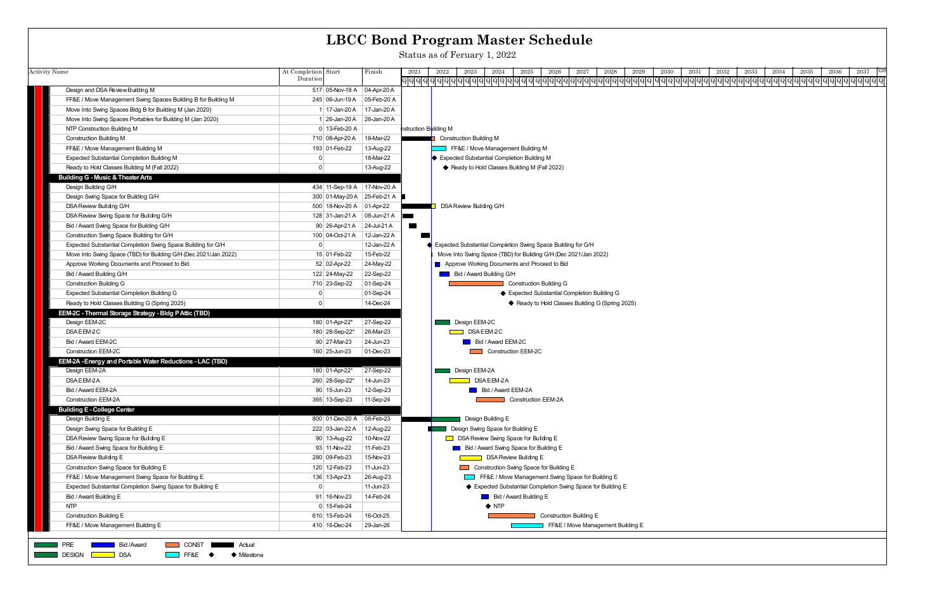|                                                                                                                                  |                                |                 | <b>LBCC Bond Program Master Schedule</b>                                                                                             |
|----------------------------------------------------------------------------------------------------------------------------------|--------------------------------|-----------------|--------------------------------------------------------------------------------------------------------------------------------------|
|                                                                                                                                  |                                |                 | Status as of Feruary 1, 2022                                                                                                         |
| <b>Activity Name</b>                                                                                                             | At Completion Start            | Finish          | 2026<br>2027<br>2028<br>2029<br>2037<br>2021<br>2023<br>2024<br>2025<br>2030<br>2031<br>2032<br>2033<br>2034<br>2035<br>2036<br>2022 |
|                                                                                                                                  | Duration                       |                 | <u>ପ୍ରାସ୍ଥିପ୍ରାସ୍ଥିପ୍ରାସ୍ଥିପ୍ରାସ୍ଥିପ୍ରାସ୍ଥିପ୍ରାସ୍ଥିପ୍ରାସ୍ଥିପ୍ରାସ୍ଥିପ୍ରାସ୍ଥିପ୍ରାସ୍ଥିପ୍ରାସ୍ଥିପ୍ରାସ୍ଥି</u>                              |
| Design and DSA Review Building M                                                                                                 | 517 05-Nov-18 A 04-Apr-20 A    |                 |                                                                                                                                      |
| FF&E / Move Management Swing Spaces Building B for Building M                                                                    | 245 06-Jun-19 A                | 05-Feb-20 A     |                                                                                                                                      |
| Move Into Swing Spaces Bldg B for Building M (Jan 2020)                                                                          | 1 17-Jan-20 A                  | 17-Jan-20 A     |                                                                                                                                      |
| Move Into Swing Spaces Portables for Building M (Jan 2020)                                                                       | 1 26-Jan-20 A 26-Jan-20 A      |                 |                                                                                                                                      |
| NTP Construction Building M                                                                                                      | 0 13-Feb-20 A                  |                 | nstruction Building M                                                                                                                |
| <b>Construction Building M</b>                                                                                                   | 710 08-Apr-20 A                | 18-Mar-22       | <b>Construction Building M</b>                                                                                                       |
| FF&E / Move Management Building M                                                                                                | 193 01-Feb-22                  | 13-Aug-22       | FF&E / Move Management Building M                                                                                                    |
| Expected Substantial Completion Building M                                                                                       | 0                              | 18-Mar-22       | ♦ Expected Substantial Completion Building M                                                                                         |
| Ready to Hold Classes Building M (Fall 2022)                                                                                     | $\mathbf 0$                    | 13-Aug-22       | ♦ Ready to Hold Classes Building M (Fall 2022)                                                                                       |
| <b>Building G - Music &amp; Theater Arts</b>                                                                                     |                                |                 |                                                                                                                                      |
| Design Building G/H                                                                                                              | 434 11-Sep-19 A 17-Nov-20 A    |                 |                                                                                                                                      |
| Design Swing Space for Building G/H                                                                                              | 300 01-May-20 A 25-Feb-21 A    |                 |                                                                                                                                      |
| DSA Review Building G/H                                                                                                          | 500 18-Nov-20 A 01-Apr-22      |                 | <b>DSA Review Building G/H</b>                                                                                                       |
| DSA Review Swing Space for Building G/H                                                                                          | 128 31-Jan-21 A 08-Jun-21 A    |                 | a kacamatan ing Kabupatèn Kabupatèn Kabupatèn Kabupatèn Kabupatèn Kabupatèn Kabupatèn Kabupatèn Kabupatèn Kabu                       |
| Bid / Award Swing Space for Building G/H                                                                                         | 90 26-Apr-21 A                 | 24-Jul-21 A     | $\blacksquare$                                                                                                                       |
| Construction Swing Space Building for G/H                                                                                        | 100 04-Oct-21 A                | 12-Jan-22 A     |                                                                                                                                      |
| Expected Substantial Completion Swing Space Building for G/H                                                                     | 0                              | 12-Jan-22 A     | Expected Substantial Completion Swing Space Building for G/H                                                                         |
| Move Into Swing Space (TBD) for Building G/H (Dec 2021/Jan 2022)                                                                 | 15 01-Feb-22                   | 15-Feb-22       | Move Into Swing Space (TBD) for Building G/H (Dec 2021/Jan 2022)                                                                     |
| Approve Working Documents and Proceed to Bid                                                                                     | 52 02-Apr-22                   | 24-May-22       | Approve Working Documents and Proceed to Bid                                                                                         |
| Bid / Award Building G/H                                                                                                         | 122 24-May-22                  | 22-Sep-22       | <b>Bid / Award Building G/H</b>                                                                                                      |
| <b>Construction Building G</b>                                                                                                   | 710 23-Sep-22                  | $ 01-Sep-24$    | <b>Construction Building G</b>                                                                                                       |
| Expected Substantial Completion Building G                                                                                       | 0                              | 01-Sep-24       | ♦ Expected Substantial Completion Building G                                                                                         |
| Ready to Hold Classes Building G (Spring 2025)                                                                                   | 0                              | 14-Dec-24       | ♦ Ready to Hold Classes Building G (Spring 2025)                                                                                     |
| EEM-2C - Thermal Storage Strategy - Bldg P Attic (TBD)                                                                           |                                |                 |                                                                                                                                      |
| Design EEM-2C                                                                                                                    | 180 01-Apr-22*                 | 27-Sep-22       | Design EEM-2C                                                                                                                        |
| DSAEEM-2C                                                                                                                        | 180 28-Sep-22*                 | 26-Mar-23       | <b>DSAEEM2C</b>                                                                                                                      |
| Bid / Award EEM-2C                                                                                                               | 90 27-Mar-23                   | 24-Jun-23       | <b>Bid / Award EEM-2C</b>                                                                                                            |
| <b>Construction EEM-2C</b>                                                                                                       | 160 25-Jun-23                  | $ 01 - Dec-23 $ | Construction EEM-2C                                                                                                                  |
| EEM-2A - Energy and Portable Water Reductions - LAC (TBD)                                                                        |                                |                 |                                                                                                                                      |
| Design EEM-2A                                                                                                                    | 180 01-Apr-22*                 | 27-Sep-22       | Design EEM-2A                                                                                                                        |
| DSAEEM-2A<br>Bid / Award EEM-2A                                                                                                  | 260 28-Sep-22*<br>90 15-Jun-23 | 14-Jun-23       | DSAEEM-2A<br><b>Bid / Award EEM-2A</b>                                                                                               |
| <b>Construction EEM-2A</b>                                                                                                       |                                | 12-Sep-23       | <b>Construction EEM-2A</b>                                                                                                           |
| <b>Building E - College Center</b>                                                                                               | 365 13-Sep-23                  | 11-Sep-24       |                                                                                                                                      |
| Design Building E                                                                                                                | 800 01-Dec-20 A 08-Feb-23      |                 | Design Building E                                                                                                                    |
| Design Swing Space for Building E                                                                                                | 222 03-Jan-22 A                | 12-Aug-22       | Design Swing Space for Building E                                                                                                    |
| DSA Review Swing Space for Building E                                                                                            | 90 13-Aug-22                   | 10-Nov-22       | □ DSA Review Swing Space for Building E                                                                                              |
| Bid / Award Swing Space for Building E                                                                                           | 93 11-Nov-22                   | 11-Feb-23       | Bid / Award Swing Space for Building E                                                                                               |
| DSA Review Building E                                                                                                            | 280 09-Feb-23                  | 15-Nov-23       | <b>DSA Review Building E</b>                                                                                                         |
| Construction Swing Space for Building E                                                                                          | 120 12-Feb-23                  | 11-Jun-23       | Construction Swing Space for Building E                                                                                              |
| FF&E / Move Management Swing Space for Building E                                                                                | 136 13-Apr-23                  | 26-Aug-23       | FF&E / Move Management Swing Space for Building E                                                                                    |
| Expected Substantial Completion Swing Space for Building E                                                                       | 0                              | 11-Jun-23       | ◆ Expected Substantial Completion Swing Space for Building E                                                                         |
| Bid / Award Building E                                                                                                           | 91 16-Nov-23                   | 14-Feb-24       | <b>Bid / Award Building E</b>                                                                                                        |
| <b>NTP</b>                                                                                                                       | $0$ 15-Feb-24                  |                 | $\blacklozenge$ NTP                                                                                                                  |
| <b>Construction Building E</b>                                                                                                   | 610 15-Feb-24                  | 16-Oct-25       | <b>Construction Building E</b>                                                                                                       |
| FF&E / Move Management Building E                                                                                                | 410 16-Dec-24                  | 29-Jan-26       | FF&E / Move Management Building E                                                                                                    |
|                                                                                                                                  |                                |                 |                                                                                                                                      |
| <b>PRE</b><br>Bid / Award<br><b>CONST</b><br>Actual<br><b>DESIGN</b><br><b>DSA</b><br>$\Box$ FF&E $\blacklozenge$<br>♦ Milestone |                                |                 |                                                                                                                                      |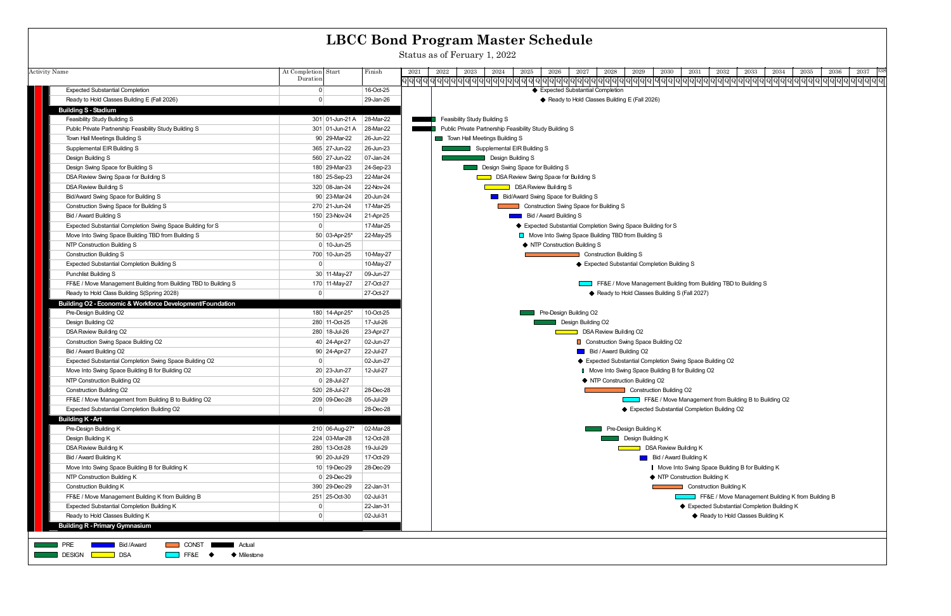|                                                                                                                            |                                           | <b>LBCC Bond Program Master Schedule</b>                                                                                             |
|----------------------------------------------------------------------------------------------------------------------------|-------------------------------------------|--------------------------------------------------------------------------------------------------------------------------------------|
|                                                                                                                            |                                           | Status as of Feruary 1, 2022                                                                                                         |
|                                                                                                                            |                                           |                                                                                                                                      |
| <b>Activity Name</b>                                                                                                       | At Completion Start<br>Finish<br>Duration | 2037<br>2023<br>2025<br>2026<br>2027<br>2028<br>2029<br>2032<br>2033<br>2035<br>2036<br>2021<br>2022<br>2024<br>2030<br>2031<br>2034 |
| <b>Expected Substantial Completion</b>                                                                                     | 16-Oct-25<br>$\overline{0}$               | ♦ Expected Substantial Completion                                                                                                    |
| Ready to Hold Classes Building E (Fall 2026)                                                                               | 29-Jan-26<br>$\Omega$                     | ◆ Ready to Hold Classes Building E (Fall 2026)                                                                                       |
| <b>Building S - Stadium</b>                                                                                                |                                           |                                                                                                                                      |
| Feasibility Study Building S                                                                                               | 301 01-Jun-21 A 28-Mar-22                 | Feasibility Study Building S                                                                                                         |
| Public Private Partnership Feasibility Study Building S                                                                    | 28-Mar-22<br>301 01-Jun-21 A              | Public Private Partnership Feasibility Study Building S                                                                              |
| Town Hall Meetings Building S                                                                                              | 90 29-Mar-22<br>26-Jun-22                 | Town Hall Meetings Building S                                                                                                        |
| Supplemental EIR Building S                                                                                                | 365 27-Jun-22<br>26-Jun-23                | Supplemental EIR Building S                                                                                                          |
| Design Building S                                                                                                          | 560 27-Jun-22<br>07-Jan-24                | Design Building S                                                                                                                    |
| Design Swing Space for Building S                                                                                          | 180 29-Mar-23<br>24-Sep-23                | Design Swing Space for Building S                                                                                                    |
| DSA Review Swing Space for Building S                                                                                      | 180 25-Sep-23<br>22-Mar-24                | DSA Review Swing Space for Building S                                                                                                |
| DSA Review Building S                                                                                                      | 320 08-Jan-24<br>22-Nov-24                | DSA Review Building S                                                                                                                |
| Bid/Award Swing Space for Building S                                                                                       | 90 23-Mar-24<br>20-Jun-24                 | Bid/Award Swing Space for Building S                                                                                                 |
| Construction Swing Space for Building S                                                                                    | 270 21-Jun-24<br>17-Mar-25                | Construction Swing Space for Building S                                                                                              |
| Bid / Award Building S                                                                                                     | 150 23-Nov-24<br>21-Apr-25                | Bid / Award Building S                                                                                                               |
| Expected Substantial Completion Swing Space Building for S                                                                 | 17-Mar-25<br>$\overline{0}$               | Expected Substantial Completion Swing Space Building for S                                                                           |
| Move Into Swing Space Building TBD from Building S                                                                         | 50 03-Apr-25*<br>22-May-25                | Move Into Swing Space Building TBD from Building S                                                                                   |
| NTP Construction Building S                                                                                                | $0$ 10-Jun-25                             | ♦ NTP Construction Building S                                                                                                        |
| <b>Construction Building S</b>                                                                                             | 700 10-Jun-25<br>10-May-27                | <b>Construction Building S</b>                                                                                                       |
| Expected Substantial Completion Building S                                                                                 | 10-May-27<br>$\overline{0}$               | ♦ Expected Substantial Completion Building S                                                                                         |
| <b>Punchlist Building S</b>                                                                                                | 30 11-May-27<br>09-Jun-27                 |                                                                                                                                      |
| FF&E / Move Management Building from Building TBD to Building S                                                            | 27-Oct-27<br>170 11-May-27                | FF&E / Move Management Building from Building TBD to Building S                                                                      |
| Ready to Hold Class Building S(Spring 2028)                                                                                | 0 <br>27-Oct-27                           | ♦ Ready to Hold Classes Building S (Fall 2027)                                                                                       |
| Building O2 - Economic & Workforce Development/Foundation                                                                  |                                           |                                                                                                                                      |
| Pre-Design Building O2                                                                                                     | 180 14-Apr-25*<br>10-Oct-25               | Pre-Design Building O2                                                                                                               |
| Design Building O2                                                                                                         | 280 11-Oct-25<br>17-Jul-26                | Design Building O2                                                                                                                   |
| DSA Review Building O2                                                                                                     | 280 18-Jul-26<br>23-Apr-27                | DSA Review Building O2                                                                                                               |
| Construction Swing Space Building O2                                                                                       | 40 24-Apr-27<br>02-Jun-27                 | Construction Swing Space Building O2                                                                                                 |
| Bid / Award Building O2                                                                                                    | 90 24-Apr-27<br>22-Jul-27                 | Bid / Award Building O2                                                                                                              |
| Expected Substantial Completion Swing Space Building O2                                                                    | 02-Jun-27<br>$\Omega$                     | ♦ Expected Substantial Completion Swing Space Building O2                                                                            |
| Move Into Swing Space Building B for Building O2                                                                           | 20 23-Jun-27<br>12-Jul-27                 | Move Into Swing Space Building B for Building O2                                                                                     |
| NTP Construction Building O2                                                                                               | $0 28$ -Jul-27                            | ♦ NTP Construction Building O2                                                                                                       |
| <b>Construction Building O2</b>                                                                                            | 520 28-Jul-27<br>28-Dec-28                | <b>Construction Building O2</b>                                                                                                      |
| FF&E / Move Management from Building B to Building O2                                                                      | 209 09-Dec-28<br>05-Jul-29                | FF&E / Move Management from Building B to Building O2                                                                                |
| Expected Substantial Completion Building O2                                                                                | 28-Dec-28<br>$\overline{0}$               | ◆ Expected Substantial Completion Building O2                                                                                        |
| <b>Building K - Art</b>                                                                                                    |                                           |                                                                                                                                      |
| Pre-Design Building K                                                                                                      | 210 06-Aug-27*<br>02-Mar-28               | Pre-Design Building K                                                                                                                |
| Design Building K                                                                                                          | 224 03-Mar-28<br>12-Oct-28                | Design Building K                                                                                                                    |
| DSA Review Building K                                                                                                      | 280 13-Oct-28<br>19-Jul-29                | DSA Review Building K<br>$\sim 100$ km s $^{-1}$                                                                                     |
| Bid / Award Building K                                                                                                     | 90 20-Jul-29<br>17-Oct-29                 | <b>Bid / Award Building K</b>                                                                                                        |
| Move Into Swing Space Building B for Building K                                                                            | 10 19-Dec-29<br>28-Dec-29                 | Move Into Swing Space Building B for Building K                                                                                      |
| NTP Construction Building K                                                                                                | $0$ 29-Dec-29                             | ♦ NTP Construction Building K                                                                                                        |
| <b>Construction Building K</b>                                                                                             | 390 29-Dec-29<br>22-Jan-31                | <b>Construction Building K</b>                                                                                                       |
| FF&E / Move Management Building K from Building B                                                                          | 251 25-Oct-30<br>02-Jul-31                | FF&E / Move Management Building K from Building B                                                                                    |
| Expected Substantial Completion Building K                                                                                 | 22-Jan-31<br>$\Omega$                     | ♦ Expected Substantial Completion Building K                                                                                         |
| Ready to Hold Classes Building K                                                                                           | 02-Jul-31<br>$\Omega$                     | ♦ Ready to Hold Classes Building K                                                                                                   |
| <b>Building R - Primary Gymnasium</b>                                                                                      |                                           |                                                                                                                                      |
|                                                                                                                            |                                           |                                                                                                                                      |
| <b>PRE</b><br><b>NONE CONST</b><br><b>Bid/Award</b><br>Actual<br><b>DESIGN</b><br><b>DSA</b><br><b>EXECUCE →</b> Milestone |                                           |                                                                                                                                      |

 $FF8E \rightarrow$ Milestone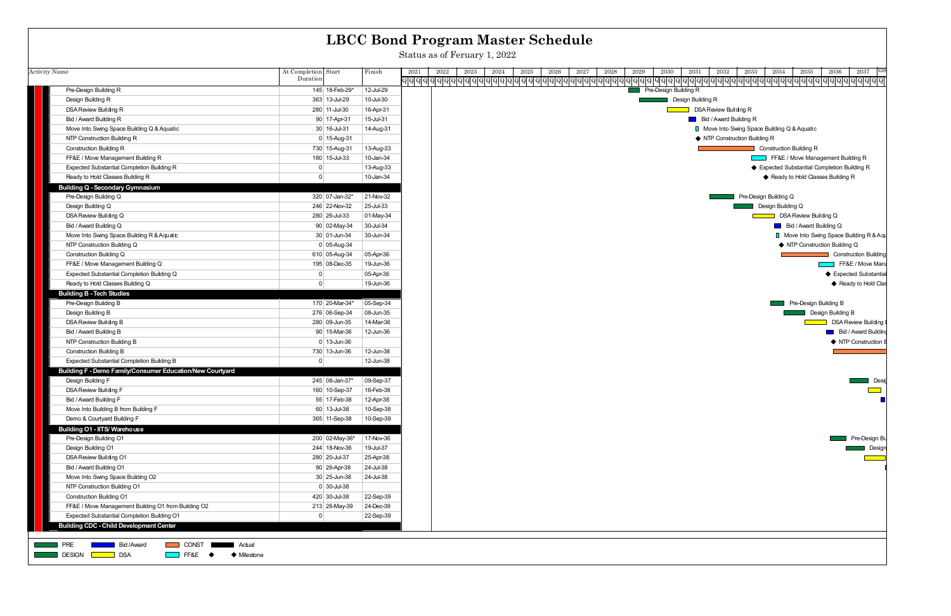| <b>Activity Name</b>                                      | At Completion Start<br>Duration |                 | Finish    | 2021 | 2027<br>2022<br>2023<br>2024<br>2025<br>2026<br>2028<br>2029<br>2030 |                   |
|-----------------------------------------------------------|---------------------------------|-----------------|-----------|------|----------------------------------------------------------------------|-------------------|
| Pre-Design Building R                                     |                                 | 145 18-Feb-29*  | 12-Jul-29 |      | Pre-Design Building R                                                |                   |
| Design Building R                                         |                                 | 363 13-Jul-29   | 10-Jul-30 |      |                                                                      | Design Building R |
| DSA Review Building R                                     |                                 | 280 11-Jul-30   | 16-Apr-31 |      |                                                                      |                   |
| Bid / Award Building R                                    |                                 | 90 17-Apr-31    | 15-Jul-31 |      |                                                                      |                   |
| Move Into Swing Space Building Q & Aquatic                |                                 | 30 16-Jul-31    | 14-Aug-31 |      |                                                                      |                   |
| NTP Construction Building R                               |                                 | 0 15-Aug-31     |           |      |                                                                      |                   |
| <b>Construction Building R</b>                            |                                 | 730 15-Aug-31   | 13-Aug-33 |      |                                                                      |                   |
| FF&E / Move Management Building R                         |                                 | 180 15-Jul-33   | 10-Jan-34 |      |                                                                      |                   |
| <b>Expected Substantial Completion Building R</b>         | $\mathbf{0}$                    |                 | 13-Aug-33 |      |                                                                      |                   |
| Ready to Hold Classes Building R                          | $\mathbf 0$                     |                 | 10-Jan-34 |      |                                                                      |                   |
| <b>Building Q - Secondary Gymnasium</b>                   |                                 |                 |           |      |                                                                      |                   |
| Pre-Design Building Q                                     |                                 | 320 07-Jan-32*  | 21-Nov-32 |      |                                                                      |                   |
| Design Building Q                                         |                                 | 246 22-Nov-32   | 25-Jul-33 |      |                                                                      |                   |
| DSA Review Building Q                                     |                                 | 280 26 Jul 33   | 01-May-34 |      |                                                                      |                   |
| Bid / Award Building Q                                    |                                 | 90 02-May-34    | 30-Jul-34 |      |                                                                      |                   |
| Move Into Swing Space Building R & Aquatic                |                                 | 30 01-Jun-34    | 30-Jun-34 |      |                                                                      |                   |
| NTP Construction Building Q                               |                                 | $0 05 - Aug-34$ |           |      |                                                                      |                   |
| Construction Building Q                                   |                                 | 610 05-Aug-34   | 05-Apr-36 |      |                                                                      |                   |
| FF&E / Move Management Building Q                         |                                 | 195 08-Dec-35   | 19-Jun-36 |      |                                                                      |                   |
| Expected Substantial Completion Building Q                | $\mathbf 0$                     |                 | 05-Apr-36 |      |                                                                      |                   |
| Ready to Hold Classes Building Q                          | $\mathbf 0$                     |                 | 19-Jun-36 |      |                                                                      |                   |
| <b>Building B - Tech Studies</b>                          |                                 |                 |           |      |                                                                      |                   |
| Pre-Design Building B                                     |                                 | 170 20-Mar-34*  | 05-Sep-34 |      |                                                                      |                   |
| Design Building B                                         |                                 | 276 06-Sep-34   | 08-Jun-35 |      |                                                                      |                   |
| DSA Review Building B                                     |                                 | 280 09-Jun-35   | 14-Mar-36 |      |                                                                      |                   |
| Bid / Award Building B                                    |                                 | 90 15-Mar-36    | 12-Jun-36 |      |                                                                      |                   |
| NTP Construction Building B                               |                                 | $0$ 13 Jun-36   |           |      |                                                                      |                   |
| <b>Construction Building B</b>                            |                                 | 730 13-Jun-36   | 12-Jun-38 |      |                                                                      |                   |
| <b>Expected Substantial Completion Building B</b>         | $\mathbf 0$                     |                 | 12-Jun-38 |      |                                                                      |                   |
| Building F - Demo Family/Consumer Education/New Courtyard |                                 |                 |           |      |                                                                      |                   |
| Design Building F                                         |                                 | 245 08 Jan-37*  | 09-Sep-37 |      |                                                                      |                   |
| DSA Review Building F                                     |                                 | 160 10-Sep-37   | 16-Feb-38 |      |                                                                      |                   |
| Bid / Award Building F                                    |                                 | 55 17-Feb-38    | 12-Apr-38 |      |                                                                      |                   |
| Move Into Building B from Building F                      |                                 | 60 13-Jul-38    | 10-Sep-38 |      |                                                                      |                   |
| Demo & Courtyard Building F                               |                                 | 365 11-Sep-38   | 10-Sep-39 |      |                                                                      |                   |
| Building O1 - IITS/ Warehouse                             |                                 |                 |           |      |                                                                      |                   |
| Pre-Design Building O1                                    |                                 | 200 02-May-36*  | 17-Nov-36 |      |                                                                      |                   |
| Design Building O1                                        |                                 | 244 18-Nov-36   | 19-Jul-37 |      |                                                                      |                   |
| DSA Review Building O1                                    |                                 | 280 20-Jul-37   | 25-Apr-38 |      |                                                                      |                   |
| Bid / Award Building O1                                   |                                 | 90 26-Apr-38    | 24-Jul-38 |      |                                                                      |                   |
| Move Into Swing Space Building O2                         |                                 | $30 25$ -Jun-38 | 24-Jul-38 |      |                                                                      |                   |
| NTP Construction Building O1                              |                                 | $0 30 -$ Jul-38 |           |      |                                                                      |                   |
| <b>Construction Building O1</b>                           |                                 | 420 30-Jul-38   | 22-Sep-39 |      |                                                                      |                   |
| FF&E / Move Management Building O1 from Building O2       |                                 | 213 26-May-39   | 24-Dec-39 |      |                                                                      |                   |
| Expected Substantial Completion Building O1               | 0                               |                 | 22-Sep-39 |      |                                                                      |                   |
| <b>Building CDC - Child Development Center</b>            |                                 |                 |           |      |                                                                      |                   |



Status as of Feruary 1, 2022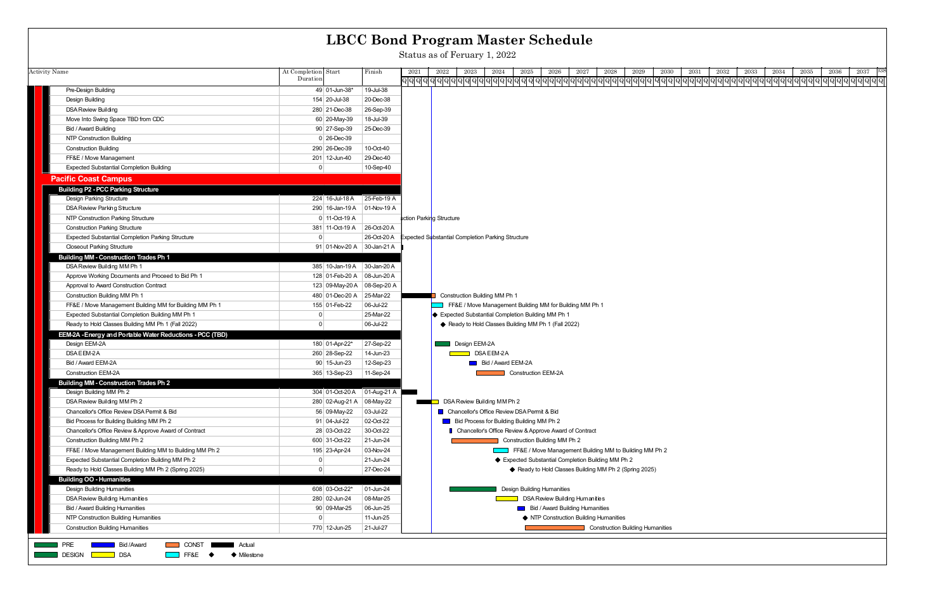|                                                                                                            |                                                         | <b>LBCC Bond Program Master Schedule</b>                                                                                             |
|------------------------------------------------------------------------------------------------------------|---------------------------------------------------------|--------------------------------------------------------------------------------------------------------------------------------------|
|                                                                                                            |                                                         | Status as of Feruary 1, 2022                                                                                                         |
| <b>Activity Name</b>                                                                                       | At Completion Start<br>Finish                           | 2026<br>2027<br>2028<br>2036<br>2037<br>2021<br>2022<br>2023<br>2024<br>2025<br>2029<br>2030<br>2031<br>2032<br>2033<br>2034<br>2035 |
|                                                                                                            | Duration                                                | <u> ପ୍ରାସ୍ଥିପ୍ରାସ୍ଥିପ୍ରାସ୍ଥିପ୍ରାସ୍ଥିପ୍ରାସ୍ଥିପ୍ରାସ୍ଥିପ୍ରାସ୍ଥିପ୍ରାସ୍ଥିପ୍ରାସ୍ଥିପ୍ରାସ୍ଥିପ୍ରାସ୍ଥିପ୍ରାସ୍ଥି</u>                             |
| Pre-Design Building                                                                                        | 19-Jul-38<br>49 01-Jun-38*                              |                                                                                                                                      |
| Design Building                                                                                            | 154 20 Jul 38<br>20-Dec-38                              |                                                                                                                                      |
| <b>DSA Review Building</b>                                                                                 | 280 21-Dec-38<br>26-Sep-39                              |                                                                                                                                      |
| Move Into Swing Space TBD from CDC                                                                         | 60 20-May-39<br>18-Jul-39                               |                                                                                                                                      |
| Bid / Award Building                                                                                       | 90 27-Sep-39<br>25-Dec-39                               |                                                                                                                                      |
| NTP Construction Building                                                                                  | 0 26-Dec-39                                             |                                                                                                                                      |
| <b>Construction Building</b>                                                                               | 290 26-Dec 39<br>10-Oct-40                              |                                                                                                                                      |
| FF&E / Move Management                                                                                     | 29-Dec-40<br>201 12-Jun-40                              |                                                                                                                                      |
| <b>Expected Substantial Completion Building</b>                                                            | 10-Sep-40<br>$\mathbf{0}$                               |                                                                                                                                      |
| <b>Pacific Coast Campus</b>                                                                                |                                                         |                                                                                                                                      |
| <b>Building P2 - PCC Parking Structure</b>                                                                 |                                                         |                                                                                                                                      |
| <b>Design Parking Structure</b>                                                                            | 224 16-Jul-18 A<br>25-Feb-19 A                          |                                                                                                                                      |
| DSA Review Parking Structure                                                                               | 290 16-Jan-19 A 01-Nov-19 A                             |                                                                                                                                      |
| NTP Construction Parking Structure                                                                         | 0 11-Oct-19 A                                           | uction Parking Structure                                                                                                             |
| <b>Construction Parking Structure</b>                                                                      | 381 11-Oct-19 A 26-Oct-20 A                             |                                                                                                                                      |
| <b>Expected Substantial Completion Parking Structure</b>                                                   | $\Omega$<br>26-Oct-20 A                                 | Expected Substantial Completion Parking Structure                                                                                    |
| <b>Closeout Parking Structure</b>                                                                          | 91 01-Nov-20 A 30-Jan-21 A                              |                                                                                                                                      |
| <b>Building MM - Construction Trades Ph 1</b>                                                              |                                                         |                                                                                                                                      |
| DSA Review Building MM Ph 1                                                                                | 385 10-Jan-19 A 30-Jan-20 A                             |                                                                                                                                      |
| Approve Working Documents and Proceed to Bid Ph 1                                                          | 128 01-Feb-20 A 08-Jun-20 A                             |                                                                                                                                      |
| Approval to Award Construction Contract                                                                    | 123 09-May-20 A 08-Sep-20 A                             |                                                                                                                                      |
| Construction Building MM Ph 1                                                                              | 480 01-Dec-20 A 25-Mar-22                               | Construction Building MM Ph 1                                                                                                        |
| FF&E / Move Management Building MM for Building MM Ph 1                                                    | $ 06$ -Jul-22<br>155 01-Feb-22                          | FF&E / Move Management Building MM for Building MM Ph 1                                                                              |
| Expected Substantial Completion Building MM Ph 1                                                           | 25-Mar-22<br>0                                          | ♦ Expected Substantial Completion Building MM Ph 1                                                                                   |
| Ready to Hold Classes Building MM Ph 1 (Fall 2022)                                                         | $\Omega$<br>06-Jul-22                                   | ♦ Ready to Hold Classes Building MM Ph 1 (Fall 2022)                                                                                 |
| EEM-2A - Energy and Portable Water Reductions - PCC (TBD)                                                  |                                                         |                                                                                                                                      |
| Design EEM-2A                                                                                              | 180 01-Apr-22*<br>27-Sep-22                             | Design EEM-2A                                                                                                                        |
| DSA EEM-2A                                                                                                 | 260 28-Sep-22<br>14-Jun-23                              | DSAEEM-2A                                                                                                                            |
| Bid / Award EEM-2A                                                                                         | 90 15-Jun-23<br>12-Sep-23                               | <b>Bid / Award EEM-2A</b>                                                                                                            |
| <b>Construction EEM-2A</b>                                                                                 | 365 13-Sep-23<br>11-Sep-24                              | <b>Construction EEM-2A</b>                                                                                                           |
| <b>Building MM - Construction Trades Ph 2</b>                                                              |                                                         |                                                                                                                                      |
| Design Building MM Ph 2                                                                                    | 304 01-Oct-20 A 01-Aug-21 A                             |                                                                                                                                      |
| DSA Review Building MM Ph 2                                                                                | 280 02-Aug-21 A 08-May-22                               | <b>DSA Review Building MM Ph 2</b>                                                                                                   |
| Chancellor's Office Review DSA Permit & Bid                                                                | 56 09-May-22<br>03-Jul-22                               | ■ Chancellor's Office Review DSA Permit & Bid                                                                                        |
| Bid Process for Building Building MM Ph 2                                                                  | $91   04$ -Jul-22<br>02-Oct-22                          | <b>Bid Process for Building Building MM Ph 2</b>                                                                                     |
| Chancellor's Office Review & Approve Award of Contract                                                     | 28 03-Oct-22<br>30-Oct-22                               | Chancellor's Office Review & Approve Award of Contract                                                                               |
| Construction Building MM Ph 2                                                                              | 600 31-Oct-22<br>21-Jun-24                              | Construction Building MM Ph 2                                                                                                        |
| FF&E / Move Management Building MM to Building MM Ph 2<br>Expected Substantial Completion Building MM Ph 2 | 195 23-Apr-24<br>03-Nov-24<br>$\mathbf{0}$<br>21-Jun-24 | FF&E / Move Management Building MM to Building MM Ph 2<br>◆ Expected Substantial Completion Building MM Ph 2                         |
| Ready to Hold Classes Building MM Ph 2 (Spring 2025)                                                       | $\Omega$<br>27-Dec-24                                   | ♦ Ready to Hold Classes Building MM Ph 2 (Spring 2025)                                                                               |
| <b>Building OO - Humanities</b>                                                                            |                                                         |                                                                                                                                      |
| Design Building Humanities                                                                                 | 608 03-Oct-22*<br>01-Jun-24                             | Design Building Humanities                                                                                                           |
| DSA Review Building Humanities                                                                             | 08-Mar-25<br>280 02-Jun-24                              | DSA Review Building Humanities                                                                                                       |
| <b>Bid / Award Building Humanities</b>                                                                     | 90 09-Mar-25<br>06-Jun-25                               | <b>Bid / Award Building Humanities</b>                                                                                               |
| NTP Construction Building Humanities                                                                       | $\mathbf{0}$<br>11-Jun-25                               | ♦ NTP Construction Building Humanities                                                                                               |
| <b>Construction Building Humanities</b>                                                                    | 770 12-Jun-25<br>21-Jul-27                              | <b>Construction Building Humanities</b>                                                                                              |
|                                                                                                            |                                                         |                                                                                                                                      |
| <b>PRE</b><br>Bid / Award<br><b>NONE CONST</b><br>Actual                                                   |                                                         |                                                                                                                                      |
| <b>DESIGN</b><br><b>DSA</b><br>$\Box$ FF&E $\blacklozenge$<br>♦ Milestone                                  |                                                         |                                                                                                                                      |
|                                                                                                            |                                                         |                                                                                                                                      |